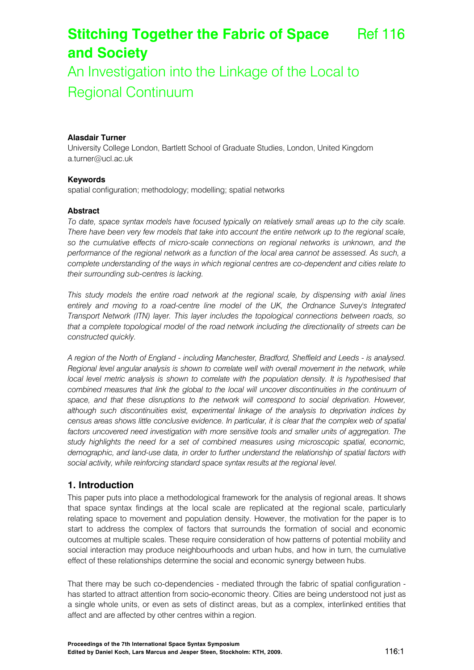# **Stitching Together the Fabric of Space and Society**  Ref 116

An Investigation into the Linkage of the Local to Regional Continuum

### **Alasdair Turner**

University College London, Bartlett School of Graduate Studies, London, United Kingdom a.turner@ucl.ac.uk

#### **Keywords**

spatial configuration; methodology; modelling; spatial networks

#### **Abstract**

*To date, space syntax models have focused typically on relatively small areas up to the city scale. There have been very few models that take into account the entire network up to the regional scale, so the cumulative effects of micro-scale connections on regional networks is unknown, and the performance of the regional network as a function of the local area cannot be assessed. As such, a complete understanding of the ways in which regional centres are co-dependent and cities relate to their surrounding sub-centres is lacking.* 

*This study models the entire road network at the regional scale, by dispensing with axial lines entirely and moving to a road-centre line model of the UK, the Ordnance Survey's Integrated Transport Network (ITN) layer. This layer includes the topological connections between roads, so that a complete topological model of the road network including the directionality of streets can be constructed quickly.* 

*A region of the North of England - including Manchester, Bradford, Sheffield and Leeds - is analysed. Regional level angular analysis is shown to correlate well with overall movement in the network, while local level metric analysis is shown to correlate with the population density. It is hypothesised that combined measures that link the global to the local will uncover discontinuities in the continuum of*  space, and that these disruptions to the network will correspond to social deprivation. However, *although such discontinuities exist, experimental linkage of the analysis to deprivation indices by census areas shows little conclusive evidence. In particular, it is clear that the complex web of spatial*  factors uncovered need investigation with more sensitive tools and smaller units of aggregation. The *study highlights the need for a set of combined measures using microscopic spatial, economic, demographic, and land-use data, in order to further understand the relationship of spatial factors with social activity, while reinforcing standard space syntax results at the regional level.* 

#### **1. Introduction**

This paper puts into place a methodological framework for the analysis of regional areas. It shows that space syntax findings at the local scale are replicated at the regional scale, particularly relating space to movement and population density. However, the motivation for the paper is to start to address the complex of factors that surrounds the formation of social and economic outcomes at multiple scales. These require consideration of how patterns of potential mobility and social interaction may produce neighbourhoods and urban hubs, and how in turn, the cumulative effect of these relationships determine the social and economic synergy between hubs.

That there may be such co-dependencies - mediated through the fabric of spatial configuration has started to attract attention from socio-economic theory. Cities are being understood not just as a single whole units, or even as sets of distinct areas, but as a complex, interlinked entities that affect and are affected by other centres within a region.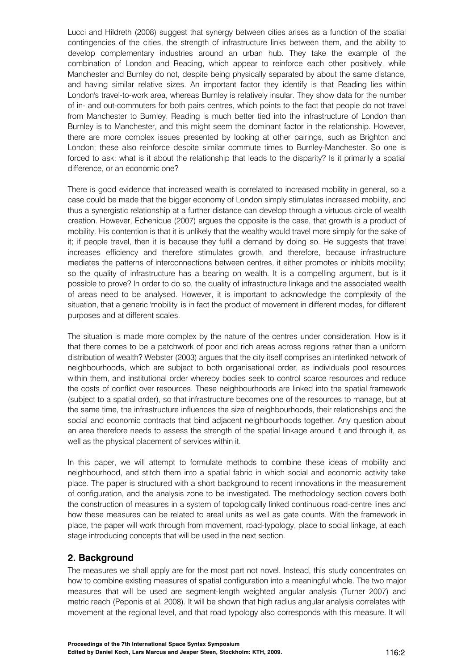Lucci and Hildreth (2008) suggest that synergy between cities arises as a function of the spatial contingencies of the cities, the strength of infrastructure links between them, and the ability to develop complementary industries around an urban hub. They take the example of the combination of London and Reading, which appear to reinforce each other positively, while Manchester and Burnley do not, despite being physically separated by about the same distance, and having similar relative sizes. An important factor they identify is that Reading lies within London's travel-to-work area, whereas Burnley is relatively insular. They show data for the number of in- and out-commuters for both pairs centres, which points to the fact that people do not travel from Manchester to Burnley. Reading is much better tied into the infrastructure of London than Burnley is to Manchester, and this might seem the dominant factor in the relationship. However, there are more complex issues presented by looking at other pairings, such as Brighton and London; these also reinforce despite similar commute times to Burnley-Manchester. So one is forced to ask: what is it about the relationship that leads to the disparity? Is it primarily a spatial difference, or an economic one?

There is good evidence that increased wealth is correlated to increased mobility in general, so a case could be made that the bigger economy of London simply stimulates increased mobility, and thus a synergistic relationship at a further distance can develop through a virtuous circle of wealth creation. However, Echenique (2007) argues the opposite is the case, that growth is a product of mobility. His contention is that it is unlikely that the wealthy would travel more simply for the sake of it; if people travel, then it is because they fulfil a demand by doing so. He suggests that travel increases efficiency and therefore stimulates growth, and therefore, because infrastructure mediates the patterns of interconnections between centres, it either promotes or inhibits mobility; so the quality of infrastructure has a bearing on wealth. It is a compelling argument, but is it possible to prove? In order to do so, the quality of infrastructure linkage and the associated wealth of areas need to be analysed. However, it is important to acknowledge the complexity of the situation, that a generic 'mobility' is in fact the product of movement in different modes, for different purposes and at different scales.

The situation is made more complex by the nature of the centres under consideration. How is it that there comes to be a patchwork of poor and rich areas across regions rather than a uniform distribution of wealth? Webster (2003) argues that the city itself comprises an interlinked network of neighbourhoods, which are subject to both organisational order, as individuals pool resources within them, and institutional order whereby bodies seek to control scarce resources and reduce the costs of conflict over resources. These neighbourhoods are linked into the spatial framework (subject to a spatial order), so that infrastructure becomes one of the resources to manage, but at the same time, the infrastructure influences the size of neighbourhoods, their relationships and the social and economic contracts that bind adjacent neighbourhoods together. Any question about an area therefore needs to assess the strength of the spatial linkage around it and through it, as well as the physical placement of services within it.

In this paper, we will attempt to formulate methods to combine these ideas of mobility and neighbourhood, and stitch them into a spatial fabric in which social and economic activity take place. The paper is structured with a short background to recent innovations in the measurement of configuration, and the analysis zone to be investigated. The methodology section covers both the construction of measures in a system of topologically linked continuous road-centre lines and how these measures can be related to areal units as well as gate counts. With the framework in place, the paper will work through from movement, road-typology, place to social linkage, at each stage introducing concepts that will be used in the next section.

# **2. Background**

The measures we shall apply are for the most part not novel. Instead, this study concentrates on how to combine existing measures of spatial configuration into a meaningful whole. The two major measures that will be used are segment-length weighted angular analysis (Turner 2007) and metric reach (Peponis et al. 2008). It will be shown that high radius angular analysis correlates with movement at the regional level, and that road typology also corresponds with this measure. It will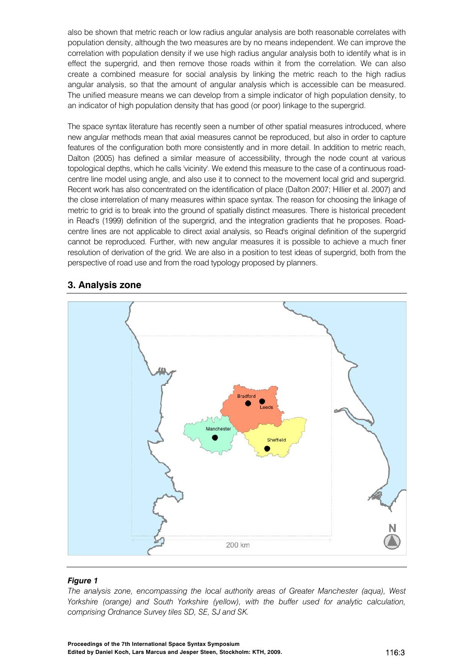also be shown that metric reach or low radius angular analysis are both reasonable correlates with population density, although the two measures are by no means independent. We can improve the correlation with population density if we use high radius angular analysis both to identify what is in effect the supergrid, and then remove those roads within it from the correlation. We can also create a combined measure for social analysis by linking the metric reach to the high radius angular analysis, so that the amount of angular analysis which is accessible can be measured. The unified measure means we can develop from a simple indicator of high population density, to an indicator of high population density that has good (or poor) linkage to the supergrid.

The space syntax literature has recently seen a number of other spatial measures introduced, where new angular methods mean that axial measures cannot be reproduced, but also in order to capture features of the configuration both more consistently and in more detail. In addition to metric reach, Dalton (2005) has defined a similar measure of accessibility, through the node count at various topological depths, which he calls 'vicinity'. We extend this measure to the case of a continuous roadcentre line model using angle, and also use it to connect to the movement local grid and supergrid. Recent work has also concentrated on the identification of place (Dalton 2007; Hillier et al. 2007) and the close interrelation of many measures within space syntax. The reason for choosing the linkage of metric to grid is to break into the ground of spatially distinct measures. There is historical precedent in Read's (1999) definition of the supergrid, and the integration gradients that he proposes. Roadcentre lines are not applicable to direct axial analysis, so Read's original definition of the supergrid cannot be reproduced. Further, with new angular measures it is possible to achieve a much finer resolution of derivation of the grid. We are also in a position to test ideas of supergrid, both from the perspective of road use and from the road typology proposed by planners.

# **3. Analysis zone**



#### *Figure 1*

*The analysis zone, encompassing the local authority areas of Greater Manchester (aqua), West Yorkshire (orange) and South Yorkshire (yellow), with the buffer used for analytic calculation, comprising Ordnance Survey tiles SD, SE, SJ and SK.*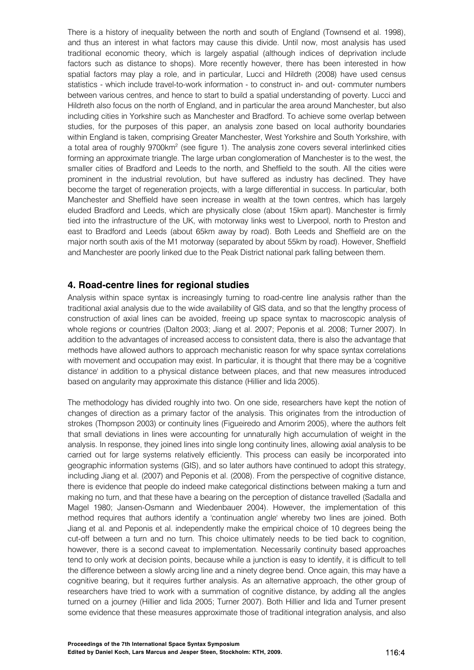There is a history of inequality between the north and south of England (Townsend et al. 1998), and thus an interest in what factors may cause this divide. Until now, most analysis has used traditional economic theory, which is largely aspatial (although indices of deprivation include factors such as distance to shops). More recently however, there has been interested in how spatial factors may play a role, and in particular, Lucci and Hildreth (2008) have used census statistics - which include travel-to-work information - to construct in- and out- commuter numbers between various centres, and hence to start to build a spatial understanding of poverty. Lucci and Hildreth also focus on the north of England, and in particular the area around Manchester, but also including cities in Yorkshire such as Manchester and Bradford. To achieve some overlap between studies, for the purposes of this paper, an analysis zone based on local authority boundaries within England is taken, comprising Greater Manchester, West Yorkshire and South Yorkshire, with a total area of roughly 9700km<sup>2</sup> (see figure 1). The analysis zone covers several interlinked cities forming an approximate triangle. The large urban conglomeration of Manchester is to the west, the smaller cities of Bradford and Leeds to the north, and Sheffield to the south. All the cities were prominent in the industrial revolution, but have suffered as industry has declined. They have become the target of regeneration projects, with a large differential in success. In particular, both Manchester and Sheffield have seen increase in wealth at the town centres, which has largely eluded Bradford and Leeds, which are physically close (about 15km apart). Manchester is firmly tied into the infrastructure of the UK, with motorway links west to Liverpool, north to Preston and east to Bradford and Leeds (about 65km away by road). Both Leeds and Sheffield are on the major north south axis of the M1 motorway (separated by about 55km by road). However, Sheffield and Manchester are poorly linked due to the Peak District national park falling between them.

## **4. Road-centre lines for regional studies**

Analysis within space syntax is increasingly turning to road-centre line analysis rather than the traditional axial analysis due to the wide availability of GIS data, and so that the lengthy process of construction of axial lines can be avoided, freeing up space syntax to macroscopic analysis of whole regions or countries (Dalton 2003; Jiang et al. 2007; Peponis et al. 2008; Turner 2007). In addition to the advantages of increased access to consistent data, there is also the advantage that methods have allowed authors to approach mechanistic reason for why space syntax correlations with movement and occupation may exist. In particular, it is thought that there may be a 'cognitive distance' in addition to a physical distance between places, and that new measures introduced based on angularity may approximate this distance (Hillier and Iida 2005).

The methodology has divided roughly into two. On one side, researchers have kept the notion of changes of direction as a primary factor of the analysis. This originates from the introduction of strokes (Thompson 2003) or continuity lines (Figueiredo and Amorim 2005), where the authors felt that small deviations in lines were accounting for unnaturally high accumulation of weight in the analysis. In response, they joined lines into single long continuity lines, allowing axial analysis to be carried out for large systems relatively efficiently. This process can easily be incorporated into geographic information systems (GIS), and so later authors have continued to adopt this strategy, including Jiang et al. (2007) and Peponis et al. (2008). From the perspective of cognitive distance, there is evidence that people do indeed make categorical distinctions between making a turn and making no turn, and that these have a bearing on the perception of distance travelled (Sadalla and Magel 1980; Jansen-Osmann and Wiedenbauer 2004). However, the implementation of this method requires that authors identify a 'continuation angle' whereby two lines are joined. Both Jiang et al. and Peponis et al. independently make the empirical choice of 10 degrees being the cut-off between a turn and no turn. This choice ultimately needs to be tied back to cognition, however, there is a second caveat to implementation. Necessarily continuity based approaches tend to only work at decision points, because while a junction is easy to identify, it is difficult to tell the difference between a slowly arcing line and a ninety degree bend. Once again, this may have a cognitive bearing, but it requires further analysis. As an alternative approach, the other group of researchers have tried to work with a summation of cognitive distance, by adding all the angles turned on a journey (Hillier and Iida 2005; Turner 2007). Both Hillier and Iida and Turner present some evidence that these measures approximate those of traditional integration analysis, and also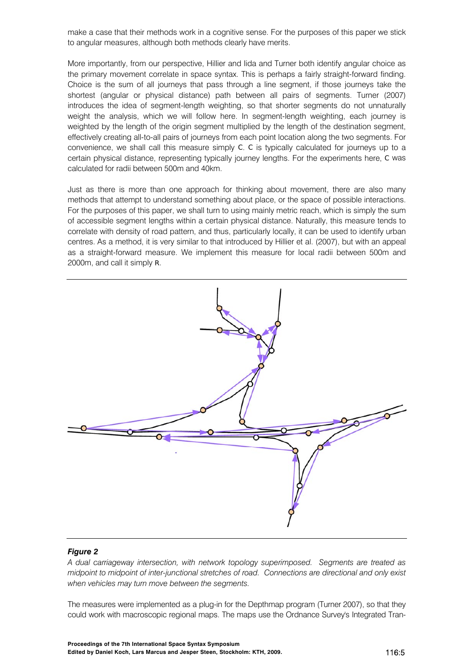make a case that their methods work in a cognitive sense. For the purposes of this paper we stick to angular measures, although both methods clearly have merits.

More importantly, from our perspective, Hillier and Iida and Turner both identify angular choice as the primary movement correlate in space syntax. This is perhaps a fairly straight-forward finding. Choice is the sum of all journeys that pass through a line segment, if those journeys take the shortest (angular or physical distance) path between all pairs of segments. Turner (2007) introduces the idea of segment-length weighting, so that shorter segments do not unnaturally weight the analysis, which we will follow here. In segment-length weighting, each journey is weighted by the length of the origin segment multiplied by the length of the destination segment, effectively creating all-to-all pairs of journeys from each point location along the two segments. For convenience, we shall call this measure simply *C*. *C* is typically calculated for journeys up to a certain physical distance, representing typically journey lengths. For the experiments here, *C* was calculated for radii between 500m and 40km.

Just as there is more than one approach for thinking about movement, there are also many methods that attempt to understand something about place, or the space of possible interactions. For the purposes of this paper, we shall turn to using mainly metric reach, which is simply the sum of accessible segment lengths within a certain physical distance. Naturally, this measure tends to correlate with density of road pattern, and thus, particularly locally, it can be used to identify urban centres. As a method, it is very similar to that introduced by Hillier et al. (2007), but with an appeal as a straight-forward measure. We implement this measure for local radii between 500m and 2000m, and call it simply *R*.



#### *Figure 2*

*A dual carriageway intersection, with network topology superimposed. Segments are treated as midpoint to midpoint of inter-junctional stretches of road. Connections are directional and only exist when vehicles may turn move between the segments.* 

The measures were implemented as a plug-in for the Depthmap program (Turner 2007), so that they could work with macroscopic regional maps. The maps use the Ordnance Survey's Integrated Tran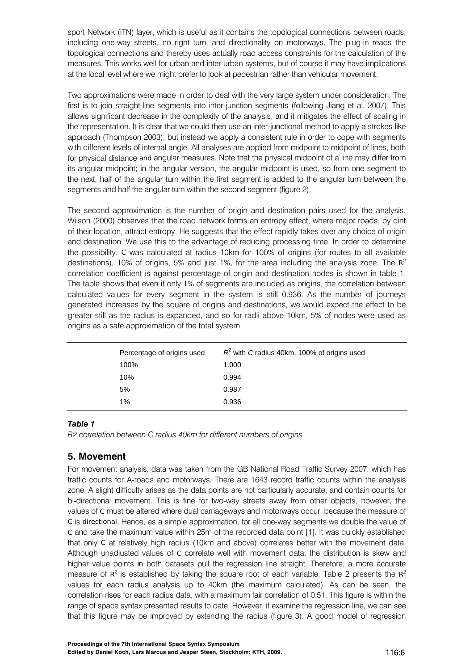sport Network (ITN) layer, which is useful as it contains the topological connections between roads, including one-way streets, no right turn, and directionality on motorways. The plug-in reads the topological connections and thereby uses actually road access constraints for the calculation of the measures. This works well for urban and inter-urban systems, but of course it may have implications at the local level where we might prefer to look at pedestrian rather than vehicular movement.

Two approximations were made in order to deal with the very large system under consideration. The first is to join straight-line segments into inter-junction segments (following Jiang et al. 2007). This allows significant decrease in the complexity of the analysis, and it mitigates the effect of scaling in the representation. It is clear that we could then use an inter-junctional method to apply a strokes-like approach (Thompson 2003), but instead we apply a consistent rule in order to cope with segments with different levels of internal angle. All analyses are applied from midpoint to midpoint of lines, both for physical distance *and* angular measures. Note that the physical midpoint of a line may differ from its angular midpoint; in the angular version, the angular midpoint is used, so from one segment to the next, half of the angular turn within the first segment is added to the angular turn between the segments and half the angular turn within the second segment (figure 2).

The second approximation is the number of origin and destination pairs used for the analysis. Wilson (2000) observes that the road network forms an entropy effect, where major roads, by dint of their location, attract entropy. He suggests that the effect rapidly takes over any choice of origin and destination. We use this to the advantage of reducing processing time. In order to determine the possibility, *C* was calculated at radius 10km for 100% of origins (for routes to all available destinations), 10% of origins, 5% and just 1%, for the area including the analysis zone. The  $R^2$ correlation coefficient is against percentage of origin and destination nodes is shown in table 1. The table shows that even if only 1% of segments are included as origins, the correlation between calculated values for every segment in the system is still 0.936. As the number of journeys generated increases by the square of origins and destinations, we would expect the effect to be greater still as the radius is expanded, and so for radii above 10km, 5% of nodes were used as origins as a safe approximation of the total system.

| Percentage of origins used | $R^2$ with C radius 40km, 100% of origins used |
|----------------------------|------------------------------------------------|
| 100%                       | 1.000                                          |
| 10%                        | 0.994                                          |
| 5%                         | 0.987                                          |
| 1%                         | 0.936                                          |

## *Table 1*

*R2 correlation between C radius 40km for different numbers of origins* 

# **5. Movement**

For movement analysis, data was taken from the GB National Road Traffic Survey 2007, which has traffic counts for A-roads and motorways. There are 1643 record traffic counts within the analysis zone. A slight difficulty arises as the data points are not particularly accurate, and contain counts for bi-directional movement. This is fine for two-way streets away from other objects, however, the values of *C* must be altered where dual carriageways and motorways occur, because the measure of *C* is *directional*. Hence, as a simple approximation, for all one-way segments we double the value of *C* and take the maximum value within 25m of the recorded data point [1]. It was quickly established that only *C* at relatively high radius (10km and above) correlates better with the movement data. Although unadjusted values of *C* correlate well with movement data, the distribution is skew and higher value points in both datasets pull the regression line straight. Therefore, a more accurate measure of  $R^2$  is established by taking the square root of each variable. Table 2 presents the  $R^2$ values for each radius analysis up to 40km (the maximum calculated). As can be seen, the correlation rises for each radius data, with a maximum fair correlation of 0.51. This figure is within the range of space syntax presented results to date. However, if examine the regression line, we can see that this figure may be improved by extending the radius (figure 3). A good model of regression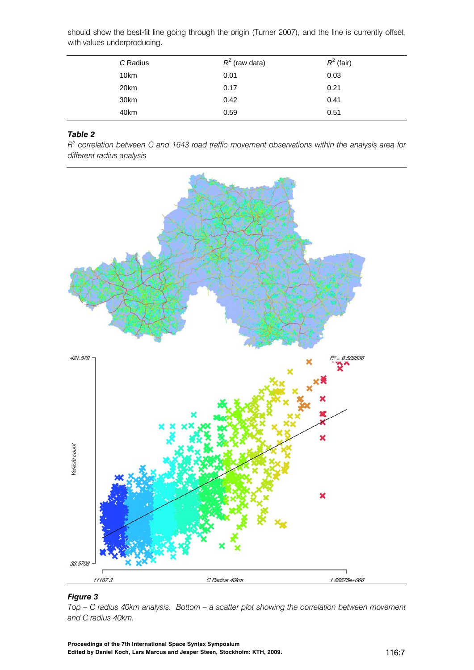should show the best-fit line going through the origin (Turner 2007), and the line is currently offset, with values underproducing.

| C Radius | $R^2$ (raw data) | $R^2$ (fair) |  |
|----------|------------------|--------------|--|
| 10km     | 0.01             | 0.03         |  |
| 20km     | 0.17             | 0.21         |  |
| 30km     | 0.42             | 0.41         |  |
| 40km     | 0.59             | 0.51         |  |

## *Table 2*

*R2 correlation between C and 1643 road traffic movement observations within the analysis area for different radius analysis* 



## *Figure 3*

*Top – C radius 40km analysis. Bottom – a scatter plot showing the correlation between movement and C radius 40km.*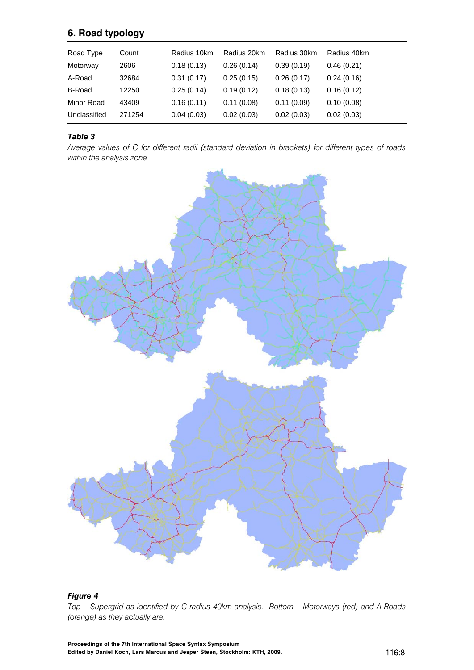# **6. Road typology**

| Road Type    | Count  | Radius 10km | Radius 20km | Radius 30km | Radius 40km |
|--------------|--------|-------------|-------------|-------------|-------------|
| Motorway     | 2606   | 0.18(0.13)  | 0.26(0.14)  | 0.39(0.19)  | 0.46(0.21)  |
| A-Road       | 32684  | 0.31(0.17)  | 0.25(0.15)  | 0.26(0.17)  | 0.24(0.16)  |
| B-Road       | 12250  | 0.25(0.14)  | 0.19(0.12)  | 0.18(0.13)  | 0.16(0.12)  |
| Minor Road   | 43409  | 0.16(0.11)  | 0.11(0.08)  | 0.11(0.09)  | 0.10(0.08)  |
| Unclassified | 271254 | 0.04(0.03)  | 0.02(0.03)  | 0.02(0.03)  | 0.02(0.03)  |

### *Table 3*

*Average values of C for different radii (standard deviation in brackets) for different types of roads within the analysis zone* 



## *Figure 4 Top – Supergrid as identified by C radius 40km analysis. Bottom – Motorways (red) and A-Roads (orange) as they actually are.*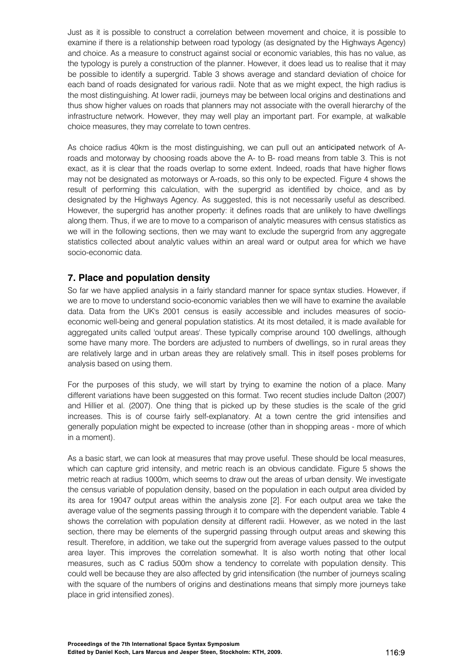Just as it is possible to construct a correlation between movement and choice, it is possible to examine if there is a relationship between road typology (as designated by the Highways Agency) and choice. As a measure to construct against social or economic variables, this has no value, as the typology is purely a construction of the planner. However, it does lead us to realise that it may be possible to identify a supergrid. Table 3 shows average and standard deviation of choice for each band of roads designated for various radii. Note that as we might expect, the high radius is the most distinguishing. At lower radii, journeys may be between local origins and destinations and thus show higher values on roads that planners may not associate with the overall hierarchy of the infrastructure network. However, they may well play an important part. For example, at walkable choice measures, they may correlate to town centres.

As choice radius 40km is the most distinguishing, we can pull out an *anticipated* network of Aroads and motorway by choosing roads above the A- to B- road means from table 3. This is not exact, as it is clear that the roads overlap to some extent. Indeed, roads that have higher flows may not be designated as motorways or A-roads, so this only to be expected. Figure 4 shows the result of performing this calculation, with the supergrid as identified by choice, and as by designated by the Highways Agency. As suggested, this is not necessarily useful as described. However, the supergrid has another property: it defines roads that are unlikely to have dwellings along them. Thus, if we are to move to a comparison of analytic measures with census statistics as we will in the following sections, then we may want to exclude the supergrid from any aggregate statistics collected about analytic values within an areal ward or output area for which we have socio-economic data.

# **7. Place and population density**

So far we have applied analysis in a fairly standard manner for space syntax studies. However, if we are to move to understand socio-economic variables then we will have to examine the available data. Data from the UK's 2001 census is easily accessible and includes measures of socioeconomic well-being and general population statistics. At its most detailed, it is made available for aggregated units called 'output areas'. These typically comprise around 100 dwellings, although some have many more. The borders are adjusted to numbers of dwellings, so in rural areas they are relatively large and in urban areas they are relatively small. This in itself poses problems for analysis based on using them.

For the purposes of this study, we will start by trying to examine the notion of a place. Many different variations have been suggested on this format. Two recent studies include Dalton (2007) and Hillier et al. (2007). One thing that is picked up by these studies is the scale of the grid increases. This is of course fairly self-explanatory. At a town centre the grid intensifies and generally population might be expected to increase (other than in shopping areas - more of which in a moment).

As a basic start, we can look at measures that may prove useful. These should be local measures, which can capture grid intensity, and metric reach is an obvious candidate. Figure 5 shows the metric reach at radius 1000m, which seems to draw out the areas of urban density. We investigate the census variable of population density, based on the population in each output area divided by its area for 19047 output areas within the analysis zone [2]. For each output area we take the average value of the segments passing through it to compare with the dependent variable. Table 4 shows the correlation with population density at different radii. However, as we noted in the last section, there may be elements of the supergrid passing through output areas and skewing this result. Therefore, in addition, we take out the supergrid from average values passed to the output area layer. This improves the correlation somewhat. It is also worth noting that other local measures, such as *C* radius 500m show a tendency to correlate with population density. This could well be because they are also affected by grid intensification (the number of journeys scaling with the square of the numbers of origins and destinations means that simply more journeys take place in grid intensified zones).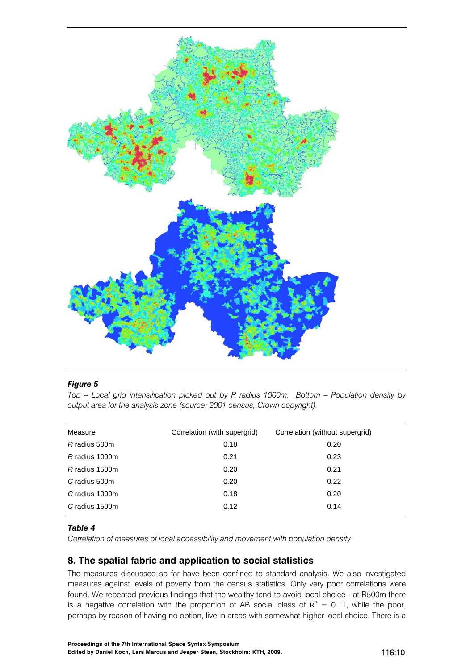

#### *Figure 5*

*Top – Local grid intensification picked out by R radius 1000m. Bottom – Population density by output area for the analysis zone (source: 2001 census, Crown copyright).* 

| Measure        | Correlation (with supergrid) | Correlation (without supergrid) |
|----------------|------------------------------|---------------------------------|
| R radius 500m  | 0.18                         | 0.20                            |
| R radius 1000m | 0.21                         | 0.23                            |
| R radius 1500m | 0.20                         | 0.21                            |
| C radius 500m  | 0.20                         | 0.22                            |
| C radius 1000m | 0.18                         | 0.20                            |
| C radius 1500m | 0.12                         | 0.14                            |

#### *Table 4*

*Correlation of measures of local accessibility and movement with population density* 

# **8. The spatial fabric and application to social statistics**

The measures discussed so far have been confined to standard analysis. We also investigated measures against levels of poverty from the census statistics. Only very poor correlations were found. We repeated previous findings that the wealthy tend to avoid local choice - at R500m there is a negative correlation with the proportion of AB social class of  $R^2 = 0.11$ , while the poor, perhaps by reason of having no option, live in areas with somewhat higher local choice. There is a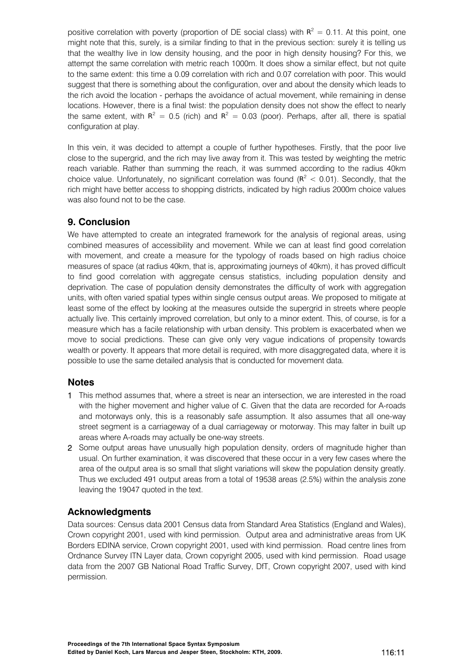positive correlation with poverty (proportion of DE social class) with  $R^2 = 0.11$ . At this point, one might note that this, surely, is a similar finding to that in the previous section: surely it is telling us that the wealthy live in low density housing, and the poor in high density housing? For this, we attempt the same correlation with metric reach 1000m. It does show a similar effect, but not quite to the same extent: this time a 0.09 correlation with rich and 0.07 correlation with poor. This would suggest that there is something about the configuration, over and about the density which leads to the rich avoid the location - perhaps the avoidance of actual movement, while remaining in dense locations. However, there is a final twist: the population density does not show the effect to nearly the same extent, with  $R^2 = 0.5$  (rich) and  $R^2 = 0.03$  (poor). Perhaps, after all, there is spatial configuration at play.

In this vein, it was decided to attempt a couple of further hypotheses. Firstly, that the poor live close to the supergrid, and the rich may live away from it. This was tested by weighting the metric reach variable. Rather than summing the reach, it was summed according to the radius 40km choice value. Unfortunately, no significant correlation was found  $(R^2 < 0.01)$ . Secondly, that the rich might have better access to shopping districts, indicated by high radius 2000m choice values was also found not to be the case.

# **9. Conclusion**

We have attempted to create an integrated framework for the analysis of regional areas, using combined measures of accessibility and movement. While we can at least find good correlation with movement, and create a measure for the typology of roads based on high radius choice measures of space (at radius 40km, that is, approximating journeys of 40km), it has proved difficult to find good correlation with aggregate census statistics, including population density and deprivation. The case of population density demonstrates the difficulty of work with aggregation units, with often varied spatial types within single census output areas. We proposed to mitigate at least some of the effect by looking at the measures outside the supergrid in streets where people actually live. This certainly improved correlation, but only to a minor extent. This, of course, is for a measure which has a facile relationship with urban density. This problem is exacerbated when we move to social predictions. These can give only very vague indications of propensity towards wealth or poverty. It appears that more detail is required, with more disaggregated data, where it is possible to use the same detailed analysis that is conducted for movement data.

# **Notes**

- 1 This method assumes that, where a street is near an intersection, we are interested in the road with the higher movement and higher value of *C*. Given that the data are recorded for A-roads and motorways only, this is a reasonably safe assumption. It also assumes that all one-way street segment is a carriageway of a dual carriageway or motorway. This may falter in built up areas where A-roads may actually be one-way streets.
- 2 Some output areas have unusually high population density, orders of magnitude higher than usual. On further examination, it was discovered that these occur in a very few cases where the area of the output area is so small that slight variations will skew the population density greatly. Thus we excluded 491 output areas from a total of 19538 areas (2.5%) within the analysis zone leaving the 19047 quoted in the text.

# **Acknowledgments**

Data sources: Census data 2001 Census data from Standard Area Statistics (England and Wales), Crown copyright 2001, used with kind permission. Output area and administrative areas from UK Borders EDINA service, Crown copyright 2001, used with kind permission. Road centre lines from Ordnance Survey ITN Layer data, Crown copyright 2005, used with kind permission. Road usage data from the 2007 GB National Road Traffic Survey, DfT, Crown copyright 2007, used with kind permission.